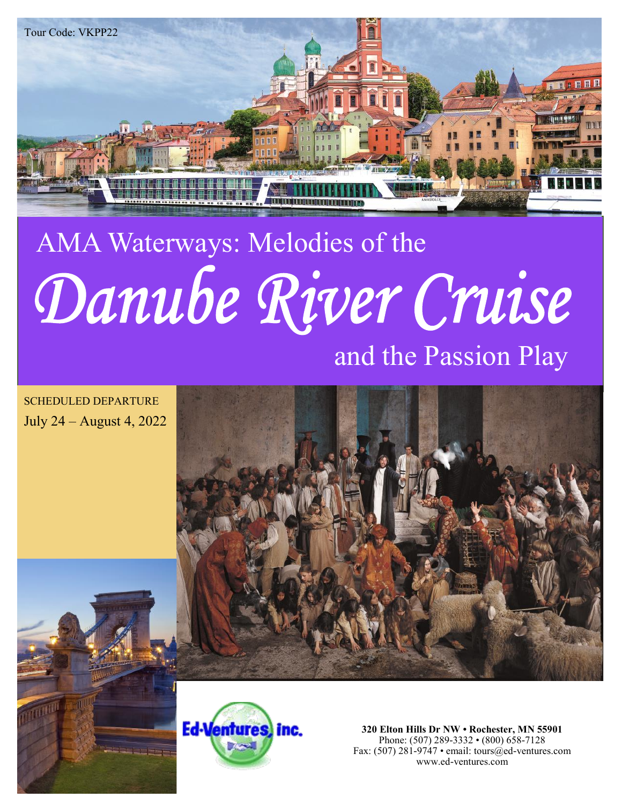

# AMA Waterways: Melodies of the Danube River Cruise

# and the Passion Play

SCHEDULED DEPARTURE July 24 – August 4, 2022





**320 Elton Hills Dr NW • Rochester, MN 55901** Phone: (507) 289-3332 • (800) 658-7128 Fax: (507) 281-9747 • email: tours@ed-ventures.com www.ed-ventures.com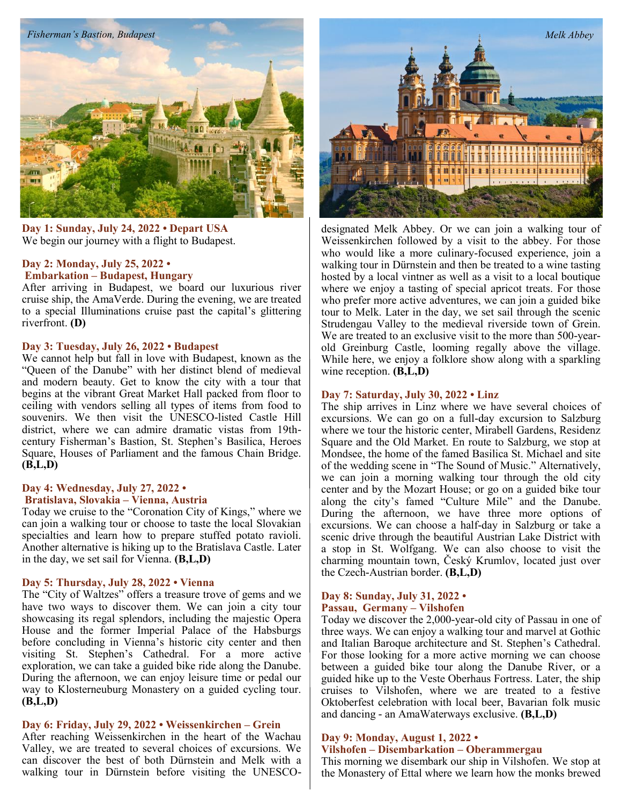

**Day 1: Sunday, July 24, 2022 • Depart USA** We begin our journey with a flight to Budapest.

#### **Day 2: Monday, July 25, 2022 • Embarkation – Budapest, Hungary**

After arriving in Budapest, we board our luxurious river cruise ship, the AmaVerde. During the evening, we are treated to a special Illuminations cruise past the capital's glittering riverfront. **(D)**

#### **Day 3: Tuesday, July 26, 2022 • Budapest**

We cannot help but fall in love with Budapest, known as the "Queen of the Danube" with her distinct blend of medieval and modern beauty. Get to know the city with a tour that begins at the vibrant Great Market Hall packed from floor to ceiling with vendors selling all types of items from food to souvenirs. We then visit the UNESCO-listed Castle Hill district, where we can admire dramatic vistas from 19thcentury Fisherman's Bastion, St. Stephen's Basilica, Heroes Square, Houses of Parliament and the famous Chain Bridge. **(B,L,D)**

## **Day 4: Wednesday, July 27, 2022 •**

#### **Bratislava, Slovakia – Vienna, Austria**

Today we cruise to the "Coronation City of Kings," where we can join a walking tour or choose to taste the local Slovakian specialties and learn how to prepare stuffed potato ravioli. Another alternative is hiking up to the Bratislava Castle. Later in the day, we set sail for Vienna. **(B,L,D)**

#### **Day 5: Thursday, July 28, 2022 • Vienna**

The "City of Waltzes" offers a treasure trove of gems and we have two ways to discover them. We can join a city tour showcasing its regal splendors, including the majestic Opera House and the former Imperial Palace of the Habsburgs before concluding in Vienna's historic city center and then visiting St. Stephen's Cathedral. For a more active exploration, we can take a guided bike ride along the Danube. During the afternoon, we can enjoy leisure time or pedal our way to Klosterneuburg Monastery on a guided cycling tour. **(B,L,D)**

#### **Day 6: Friday, July 29, 2022 • Weissenkirchen – Grein**

After reaching Weissenkirchen in the heart of the Wachau Valley, we are treated to several choices of excursions. We can discover the best of both Dürnstein and Melk with a walking tour in Dürnstein before visiting the UNESCO-



designated Melk Abbey. Or we can join a walking tour of Weissenkirchen followed by a visit to the abbey. For those who would like a more culinary-focused experience, join a walking tour in Dürnstein and then be treated to a wine tasting hosted by a local vintner as well as a visit to a local boutique where we enjoy a tasting of special apricot treats. For those who prefer more active adventures, we can join a guided bike tour to Melk. Later in the day, we set sail through the scenic Strudengau Valley to the medieval riverside town of Grein. We are treated to an exclusive visit to the more than 500-yearold Greinburg Castle, looming regally above the village. While here, we enjoy a folklore show along with a sparkling wine reception. **(B,L,D)**

#### **Day 7: Saturday, July 30, 2022 • Linz**

The ship arrives in Linz where we have several choices of excursions. We can go on a full-day excursion to Salzburg where we tour the historic center, Mirabell Gardens, Residenz Square and the Old Market. En route to Salzburg, we stop at Mondsee, the home of the famed Basilica St. Michael and site of the wedding scene in "The Sound of Music." Alternatively, we can join a morning walking tour through the old city center and by the Mozart House; or go on a guided bike tour along the city's famed "Culture Mile" and the Danube. During the afternoon, we have three more options of excursions. We can choose a half-day in Salzburg or take a scenic drive through the beautiful Austrian Lake District with a stop in St. Wolfgang. We can also choose to visit the charming mountain town, Český Krumlov, located just over the Czech-Austrian border. **(B,L,D)**

#### **Day 8: Sunday, July 31, 2022 • Passau, Germany – Vilshofen**

Today we discover the 2,000-year-old city of Passau in one of three ways. We can enjoy a walking tour and marvel at Gothic and Italian Baroque architecture and St. Stephen's Cathedral. For those looking for a more active morning we can choose between a guided bike tour along the Danube River, or a guided hike up to the Veste Oberhaus Fortress. Later, the ship cruises to Vilshofen, where we are treated to a festive Oktoberfest celebration with local beer, Bavarian folk music and dancing - an AmaWaterways exclusive. **(B,L,D)**

## **Day 9: Monday, August 1, 2022 •**

#### **Vilshofen – Disembarkation – Oberammergau**

This morning we disembark our ship in Vilshofen. We stop at the Monastery of Ettal where we learn how the monks brewed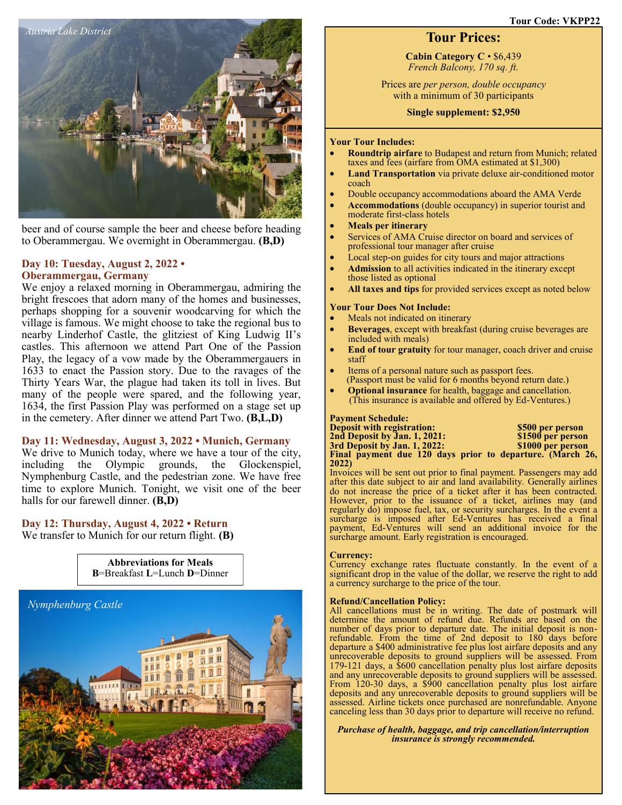

beer and of course sample the beer and cheese before heading to Oberammergau. We overnight in Oberammergau. **(B,D)**

#### **Day 10: Tuesday, August 2, 2022 • Oberammergau, Germany**

We enjoy a relaxed morning in Oberammergau, admiring the bright frescoes that adorn many of the homes and businesses, perhaps shopping for a souvenir woodcarving for which the village is famous. We might choose to take the regional bus to nearby Linderhof Castle, the glitziest of King Ludwig II's castles. This afternoon we attend Part One of the Passion Play, the legacy of a vow made by the Oberammergauers in 1633 to enact the Passion story. Due to the ravages of the Thirty Years War, the plague had taken its toll in lives. But many of the people were spared, and the following year, 1634, the first Passion Play was performed on a stage set up in the cemetery. After dinner we attend Part Two. **(B,L,D)**

#### **Day 11: Wednesday, August 3, 2022 • Munich, Germany**

We drive to Munich today, where we have a tour of the city, including the Olympic grounds, the Glockenspiel, Nymphenburg Castle, and the pedestrian zone. We have free time to explore Munich. Tonight, we visit one of the beer halls for our farewell dinner. **(B,D)**

**Abbreviations for Meals**

# **Day 12: Thursday, August 4, 2022 • Return**

We transfer to Munich for our return flight. **(B)**



# **Tour Prices:**

**Cabin Category C** • \$6,439 *French Balcony, 170 sq. ft.* 

Prices are *per person, double occupancy* with a minimum of 30 participants

**Single supplement: \$2,950** 

#### **Your Tour Includes:**

- **Roundtrip airfare** to Budapest and return from Munich; related taxes and fees (airfare from OMA estimated at \$1,300)
- **Land Transportation** via private deluxe air-conditioned motor coach
- Double occupancy accommodations aboard the AMA Verde
- **Accommodations** (double occupancy) in superior tourist and moderate first-class hotels
- **Meals per itinerary**
- Services of AMA Cruise director on board and services of professional tour manager after cruise
- Local step-on guides for city tours and major attractions
- **Admission** to all activities indicated in the itinerary except those listed as optional
- **All taxes and tips** for provided services except as noted below

#### **Your Tour Does Not Include:**

- Meals not indicated on itinerary
- **Beverages**, except with breakfast (during cruise beverages are included with meals)
- **End of tour gratuity** for tour manager, coach driver and cruise staff
- Items of a personal nature such as passport fees. (Passport must be valid for 6 months beyond return date.)
- **Optional insurance** for health, baggage and cancellation. (This insurance is available and offered by Ed-Ventures.)

#### **Payment Schedule:**

| <b>Deposit with registration:</b>                         | \$500 per person  |
|-----------------------------------------------------------|-------------------|
| 2nd Deposit by Jan. 1, 2021:                              | \$1500 per person |
| 3rd Deposit by Jan. 1, 2022:                              | \$1000 per person |
| Final payment due 120 days prior to departure. (March 26, |                   |
| 2022)                                                     |                   |

Invoices will be sent out prior to final payment. Passengers may add after this date subject to air and land availability. Generally airlines do not increase the price of a ticket after it has been contracted. However, prior to the issuance of a ticket, airlines may (and regularly do) impose fuel, tax, or security surcharges. In the event a surcharge is imposed after Ed-Ventures has received a final payment, Ed-Ventures will send an additional invoice for the surcharge amount. Early registration is encouraged.

#### **Currency:**

Currency exchange rates fluctuate constantly. In the event of a significant drop in the value of the dollar, we reserve the right to add a currency surcharge to the price of the tour.

#### **Refund/Cancellation Policy:**

All cancellations must be in writing. The date of postmark will determine the amount of refund due. Refunds are based on the number of days prior to departure date. The initial deposit is nonrefundable. From the time of 2nd deposit to 180 days before departure a \$400 administrative fee plus lost airfare deposits and any unrecoverable deposits to ground suppliers will be assessed. From 179-121 days, a \$600 cancellation penalty plus lost airfare deposits and any unrecoverable deposits to ground suppliers will be assessed. From 120-30 days, a \$900 cancellation penalty plus lost airfare deposits and any unrecoverable deposits to ground suppliers will be assessed. Airline tickets once purchased are nonrefundable. Anyone canceling less than 30 days prior to departure will receive no refund.

*Purchase of health, baggage, and trip cancellation/interruption insurance is strongly recommended.*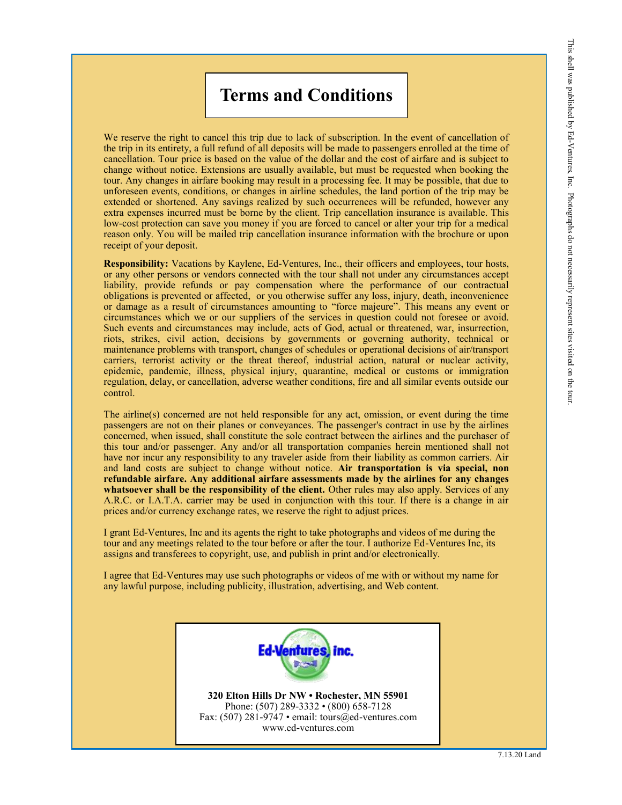# **Terms and Conditions**

We reserve the right to cancel this trip due to lack of subscription. In the event of cancellation of the trip in its entirety, a full refund of all deposits will be made to passengers enrolled at the time of cancellation. Tour price is based on the value of the dollar and the cost of airfare and is subject to change without notice. Extensions are usually available, but must be requested when booking the tour. Any changes in airfare booking may result in a processing fee. It may be possible, that due to unforeseen events, conditions, or changes in airline schedules, the land portion of the trip may be extended or shortened. Any savings realized by such occurrences will be refunded, however any extra expenses incurred must be borne by the client. Trip cancellation insurance is available. This low-cost protection can save you money if you are forced to cancel or alter your trip for a medical reason only. You will be mailed trip cancellation insurance information with the brochure or upon receipt of your deposit.

**Responsibility:** Vacations by Kaylene, Ed-Ventures, Inc., their officers and employees, tour hosts, or any other persons or vendors connected with the tour shall not under any circumstances accept liability, provide refunds or pay compensation where the performance of our contractual obligations is prevented or affected, or you otherwise suffer any loss, injury, death, inconvenience or damage as a result of circumstances amounting to "force majeure". This means any event or circumstances which we or our suppliers of the services in question could not foresee or avoid. Such events and circumstances may include, acts of God, actual or threatened, war, insurrection, riots, strikes, civil action, decisions by governments or governing authority, technical or maintenance problems with transport, changes of schedules or operational decisions of air/transport carriers, terrorist activity or the threat thereof, industrial action, natural or nuclear activity, epidemic, pandemic, illness, physical injury, quarantine, medical or customs or immigration regulation, delay, or cancellation, adverse weather conditions, fire and all similar events outside our control.

The airline(s) concerned are not held responsible for any act, omission, or event during the time passengers are not on their planes or conveyances. The passenger's contract in use by the airlines concerned, when issued, shall constitute the sole contract between the airlines and the purchaser of this tour and/or passenger. Any and/or all transportation companies herein mentioned shall not have nor incur any responsibility to any traveler aside from their liability as common carriers. Air and land costs are subject to change without notice. **Air transportation is via special, non refundable airfare. Any additional airfare assessments made by the airlines for any changes whatsoever shall be the responsibility of the client.** Other rules may also apply. Services of any A.R.C. or I.A.T.A. carrier may be used in conjunction with this tour. If there is a change in air prices and/or currency exchange rates, we reserve the right to adjust prices.

I grant Ed-Ventures, Inc and its agents the right to take photographs and videos of me during the tour and any meetings related to the tour before or after the tour. I authorize Ed-Ventures Inc, its assigns and transferees to copyright, use, and publish in print and/or electronically.

I agree that Ed-Ventures may use such photographs or videos of me with or without my name for any lawful purpose, including publicity, illustration, advertising, and Web content.